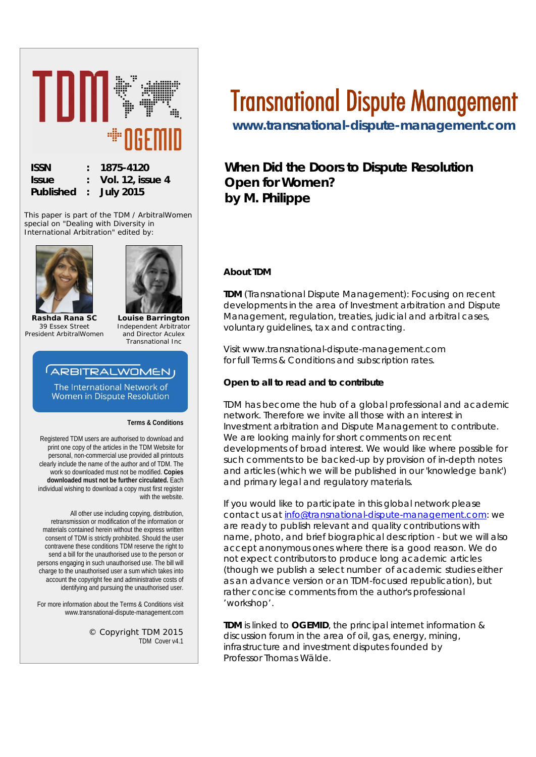

This paper is part of the TDM / ArbitralWomen special on "*Dealing with Diversity in International Arbitration*" edited by:





**Rashda Rana SC** *39 Essex Street President ArbitralWomen*

**Louise Barrington** *Independent Arbitrator and Director Aculex Transnational Inc*

# **ARBITRALWOMENJ**

The International Network of Women in Dispute Resolution

**Terms & Conditions**

Registered TDM users are authorised to download and print one copy of the articles in the TDM Website for personal, non-commercial use provided all printouts clearly include the name of the author and of TDM. The work so downloaded must not be modified. **Copies downloaded must not be further circulated.** Each individual wishing to download a copy must first register with the website.

All other use including copying, distribution, retransmission or modification of the information or materials contained herein without the express written consent of TDM is strictly prohibited. Should the user contravene these conditions TDM reserve the right to send a bill for the unauthorised use to the person or persons engaging in such unauthorised use. The bill will charge to the unauthorised user a sum which takes into account the copyright fee and administrative costs of identifying and pursuing the unauthorised user.

For more information about the Terms & Conditions visit www.transnational-dispute-management.com

> © Copyright TDM 2015 TDM Cover v4.1

# Transnational Dispute Management

**[www.transnational-dispute-management.com](http://www.transnational-dispute-management.com/)** 

**When Did the Doors to Dispute Resolution Open for Women? by M. Philippe**

# **About TDM**

**TDM** (Transnational Dispute Management): Focusing on recent developments in the area of Investment arbitration and Dispute Management, regulation, treaties, judicial and arbitral cases, voluntary guidelines, tax and contracting.

Visit www.transnational-dispute-management.com for full Terms & Conditions and subscription rates.

#### **Open to all to read and to contribute**

TDM has become the hub of a global professional and academic network. Therefore we invite all those with an interest in Investment arbitration and Dispute Management to contribute. We are looking mainly for short comments on recent developments of broad interest. We would like where possible for such comments to be backed-up by provision of in-depth notes and articles (which we will be published in our 'knowledge bank') and primary legal and regulatory materials.

If you would like to participate in this global network please contact us at [info@transnational-dispute-management.com:](mailto:info@transnational-dispute-management.com) we are ready to publish relevant and quality contributions with name, photo, and brief biographical description - but we will also accept anonymous ones where there is a good reason. We do not expect contributors to produce long academic articles (though we publish a select number of academic studies either as an advance version or an TDM-focused republication), but rather concise comments from the author's professional 'workshop'.

**TDM** is linked to **OGEMID**, the principal internet information & discussion forum in the area of oil, gas, energy, mining, infrastructure and investment disputes founded by Professor Thomas Wälde.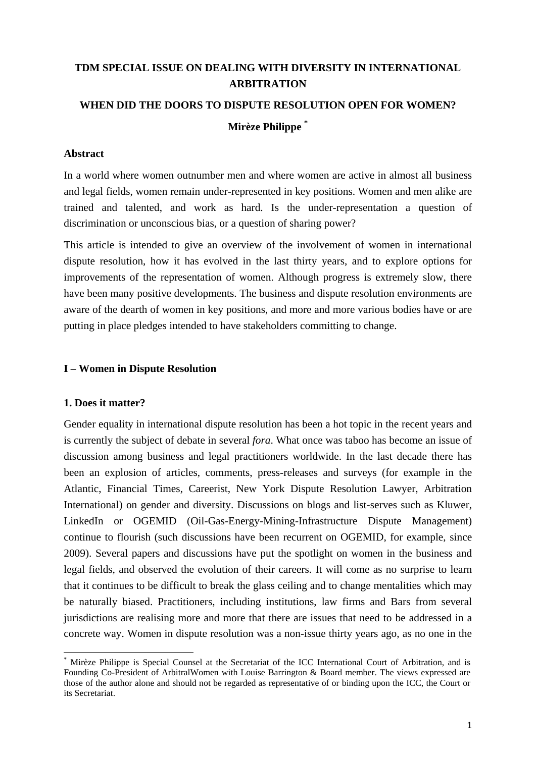# **TDM SPECIAL ISSUE ON DEALING WITH DIVERSITY IN INTERNATIONAL ARBITRATION WHEN DID THE DOORS TO DISPUTE RESOLUTION OPEN FOR WOMEN? Mirèze Philippe \***

#### **Abstract**

In a world where women outnumber men and where women are active in almost all business and legal fields, women remain under-represented in key positions. Women and men alike are trained and talented, and work as hard. Is the under-representation a question of discrimination or unconscious bias, or a question of sharing power?

This article is intended to give an overview of the involvement of women in international dispute resolution, how it has evolved in the last thirty years, and to explore options for improvements of the representation of women. Although progress is extremely slow, there have been many positive developments. The business and dispute resolution environments are aware of the dearth of women in key positions, and more and more various bodies have or are putting in place pledges intended to have stakeholders committing to change.

#### **I – Women in Dispute Resolution**

#### **1. Does it matter?**

Gender equality in international dispute resolution has been a hot topic in the recent years and is currently the subject of debate in several *fora*. What once was taboo has become an issue of discussion among business and legal practitioners worldwide. In the last decade there has been an explosion of articles, comments, press-releases and surveys (for example in the Atlantic, Financial Times, Careerist, New York Dispute Resolution Lawyer, Arbitration International) on gender and diversity. Discussions on blogs and list-serves such as Kluwer, LinkedIn or OGEMID (Oil-Gas-Energy-Mining-Infrastructure Dispute Management) continue to flourish (such discussions have been recurrent on OGEMID, for example, since 2009). Several papers and discussions have put the spotlight on women in the business and legal fields, and observed the evolution of their careers. It will come as no surprise to learn that it continues to be difficult to break the glass ceiling and to change mentalities which may be naturally biased. Practitioners, including institutions, law firms and Bars from several jurisdictions are realising more and more that there are issues that need to be addressed in a concrete way. Women in dispute resolution was a non-issue thirty years ago, as no one in the

<sup>\*</sup> Mirèze Philippe is Special Counsel at the Secretariat of the ICC International Court of Arbitration, and is Founding Co-President of ArbitralWomen with Louise Barrington & Board member. The views expressed are those of the author alone and should not be regarded as representative of or binding upon the ICC, the Court or its Secretariat.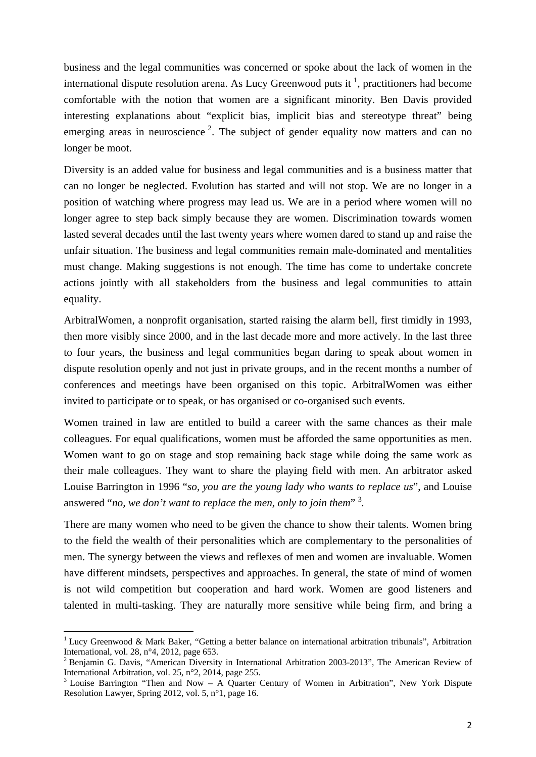business and the legal communities was concerned or spoke about the lack of women in the international dispute resolution arena. As Lucy Greenwood puts it  $<sup>1</sup>$ , practitioners had become</sup> comfortable with the notion that women are a significant minority. Ben Davis provided interesting explanations about "explicit bias, implicit bias and stereotype threat" being emerging areas in neuroscience<sup>2</sup>. The subject of gender equality now matters and can no longer be moot.

Diversity is an added value for business and legal communities and is a business matter that can no longer be neglected. Evolution has started and will not stop. We are no longer in a position of watching where progress may lead us. We are in a period where women will no longer agree to step back simply because they are women. Discrimination towards women lasted several decades until the last twenty years where women dared to stand up and raise the unfair situation. The business and legal communities remain male-dominated and mentalities must change. Making suggestions is not enough. The time has come to undertake concrete actions jointly with all stakeholders from the business and legal communities to attain equality.

ArbitralWomen, a nonprofit organisation, started raising the alarm bell, first timidly in 1993, then more visibly since 2000, and in the last decade more and more actively. In the last three to four years, the business and legal communities began daring to speak about women in dispute resolution openly and not just in private groups, and in the recent months a number of conferences and meetings have been organised on this topic. ArbitralWomen was either invited to participate or to speak, or has organised or co-organised such events.

Women trained in law are entitled to build a career with the same chances as their male colleagues. For equal qualifications, women must be afforded the same opportunities as men. Women want to go on stage and stop remaining back stage while doing the same work as their male colleagues. They want to share the playing field with men. An arbitrator asked Louise Barrington in 1996 "*so, you are the young lady who wants to replace us*", and Louise answered "*no, we don't want to replace the men, only to join them*"<sup>3</sup>.

There are many women who need to be given the chance to show their talents. Women bring to the field the wealth of their personalities which are complementary to the personalities of men. The synergy between the views and reflexes of men and women are invaluable. Women have different mindsets, perspectives and approaches. In general, the state of mind of women is not wild competition but cooperation and hard work. Women are good listeners and talented in multi-tasking. They are naturally more sensitive while being firm, and bring a

<sup>&</sup>lt;sup>1</sup> Lucy Greenwood & Mark Baker, "Getting a better balance on international arbitration tribunals", Arbitration International, vol. 28, n°4, 2012, page 653.

<sup>&</sup>lt;sup>2</sup> Benjamin G. Davis, "American Diversity in International Arbitration 2003-2013", The American Review of International Arbitration, vol. 25, n°2, 2014, page 255.

<sup>&</sup>lt;sup>3</sup> Louise Barrington "Then and Now – A Quarter Century of Women in Arbitration", New York Dispute Resolution Lawyer, Spring 2012, vol. 5, n°1, page 16.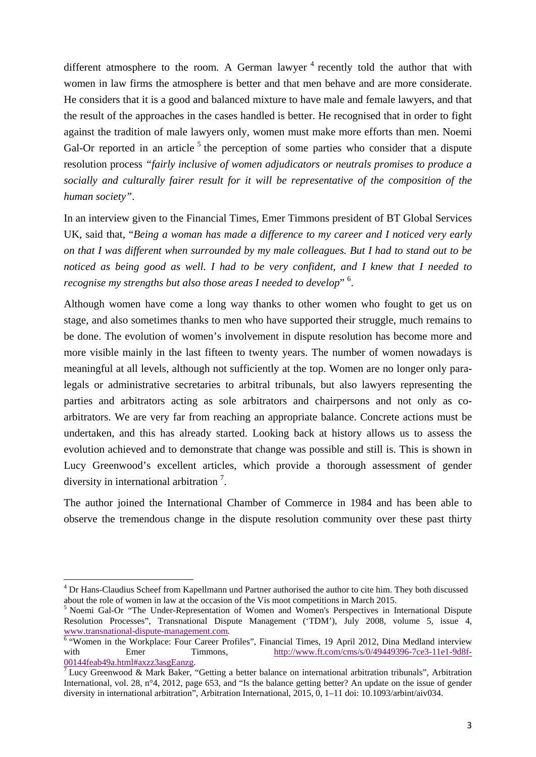different atmosphere to the room. A German lawyer  $4$  recently told the author that with women in law firms the atmosphere is better and that men behave and are more considerate. He considers that it is a good and balanced mixture to have male and female lawyers, and that the result of the approaches in the cases handled is better. He recognised that in order to fight against the tradition of male lawyers only, women must make more efforts than men. Noemi Gal-Or reported in an article<sup>5</sup> the perception of some parties who consider that a dispute resolution process *"fairly inclusive of women adjudicators or neutrals promises to produce a socially and culturally fairer result for it will be representative of the composition of the human society"*.

In an interview given to the Financial Times, Emer Timmons president of BT Global Services UK, said that, "*Being a woman has made a difference to my career and I noticed very early on that I was different when surrounded by my male colleagues. But I had to stand out to be noticed as being good as well. I had to be very confident, and I knew that I needed to*  recognise my strengths but also those areas I needed to develop" <sup>6</sup>.

Although women have come a long way thanks to other women who fought to get us on stage, and also sometimes thanks to men who have supported their struggle, much remains to be done. The evolution of women's involvement in dispute resolution has become more and more visible mainly in the last fifteen to twenty years. The number of women nowadays is meaningful at all levels, although not sufficiently at the top. Women are no longer only paralegals or administrative secretaries to arbitral tribunals, but also lawyers representing the parties and arbitrators acting as sole arbitrators and chairpersons and not only as coarbitrators. We are very far from reaching an appropriate balance. Concrete actions must be undertaken, and this has already started. Looking back at history allows us to assess the evolution achieved and to demonstrate that change was possible and still is. This is shown in Lucy Greenwood's excellent articles, which provide a thorough assessment of gender diversity in international arbitration<sup>7</sup>.

The author joined the International Chamber of Commerce in 1984 and has been able to observe the tremendous change in the dispute resolution community over these past thirty

<sup>&</sup>lt;sup>4</sup> Dr Hans-Claudius Scheef from Kapellmann und Partner authorised the author to cite him. They both discussed about the role of women in law at the occasion of the Vis moot competitions in March 2015.

<sup>&</sup>lt;sup>5</sup> Noemi Gal-Or "The Under-Representation of Women and Women's Perspectives in International Dispute Resolution Processes", Transnational Dispute Management ('TDM'), July 2008, volume 5, issue 4, www.transnational-dispute-management.com.<br><sup>6</sup> 'Women in the Workplace: Four Career Profiles'', Financial Times, 19 April 2012, Dina Medland interview

with Emer Timmons, http://www.ft.com/cms/s/0/49449396-7ce3-11e1-9d8f-00144feab49a.html#axzz3asgEanzg.

<sup>&</sup>lt;sup>7</sup> Lucy Greenwood & Mark Baker, "Getting a better balance on international arbitration tribunals", Arbitration International, vol. 28, n°4, 2012, page 653, and "Is the balance getting better? An update on the issue of gender diversity in international arbitration", Arbitration International, 2015, 0, 1–11 doi: 10.1093/arbint/aiv034.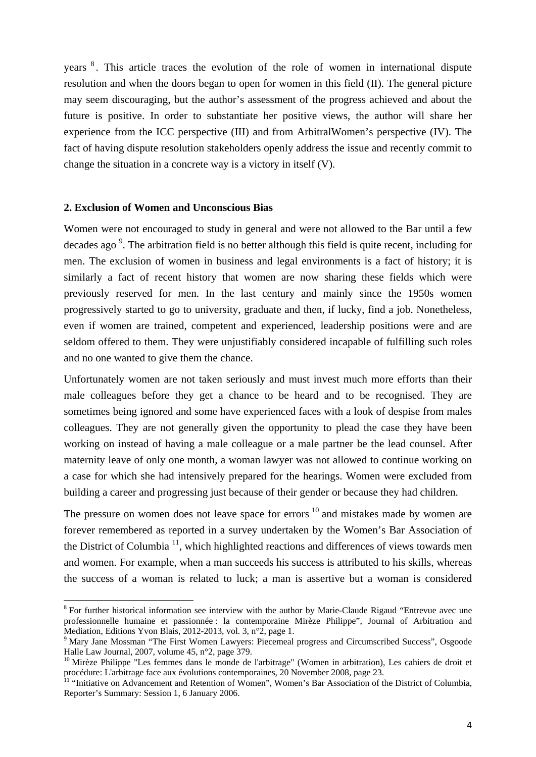years <sup>8</sup> . This article traces the evolution of the role of women in international dispute resolution and when the doors began to open for women in this field (II). The general picture may seem discouraging, but the author's assessment of the progress achieved and about the future is positive. In order to substantiate her positive views, the author will share her experience from the ICC perspective (III) and from ArbitralWomen's perspective (IV). The fact of having dispute resolution stakeholders openly address the issue and recently commit to change the situation in a concrete way is a victory in itself (V).

#### **2. Exclusion of Women and Unconscious Bias**

Women were not encouraged to study in general and were not allowed to the Bar until a few decades ago<sup>9</sup>. The arbitration field is no better although this field is quite recent, including for men. The exclusion of women in business and legal environments is a fact of history; it is similarly a fact of recent history that women are now sharing these fields which were previously reserved for men. In the last century and mainly since the 1950s women progressively started to go to university, graduate and then, if lucky, find a job. Nonetheless, even if women are trained, competent and experienced, leadership positions were and are seldom offered to them. They were unjustifiably considered incapable of fulfilling such roles and no one wanted to give them the chance.

Unfortunately women are not taken seriously and must invest much more efforts than their male colleagues before they get a chance to be heard and to be recognised. They are sometimes being ignored and some have experienced faces with a look of despise from males colleagues. They are not generally given the opportunity to plead the case they have been working on instead of having a male colleague or a male partner be the lead counsel. After maternity leave of only one month, a woman lawyer was not allowed to continue working on a case for which she had intensively prepared for the hearings. Women were excluded from building a career and progressing just because of their gender or because they had children.

The pressure on women does not leave space for errors  $10$  and mistakes made by women are forever remembered as reported in a survey undertaken by the Women's Bar Association of the District of Columbia  $\frac{11}{11}$ , which highlighted reactions and differences of views towards men and women. For example, when a man succeeds his success is attributed to his skills, whereas the success of a woman is related to luck; a man is assertive but a woman is considered

<sup>&</sup>lt;sup>8</sup> For further historical information see interview with the author by Marie-Claude Rigaud "Entrevue avec une professionnelle humaine et passionnée : la contemporaine Mirèze Philippe", Journal of Arbitration and Mediation, Editions Yvon Blais, 2012-2013, vol. 3, n°2, page 1.

<sup>&</sup>lt;sup>9</sup> Mary Jane Mossman "The First Women Lawyers: Piecemeal progress and Circumscribed Success", Osgoode Halle Law Journal, 2007, volume 45, n°2, page 379.

<sup>&</sup>lt;sup>10</sup> Mirèze Philippe "Les femmes dans le monde de l'arbitrage" (Women in arbitration), Les cahiers de droit et procédure: L'arbitrage face aux évolutions contemporaines, 20 November 2008, page 23.

<sup>&</sup>lt;sup>11</sup> "Initiative on Advancement and Retention of Women", Women's Bar Association of the District of Columbia, Reporter's Summary: Session 1, 6 January 2006.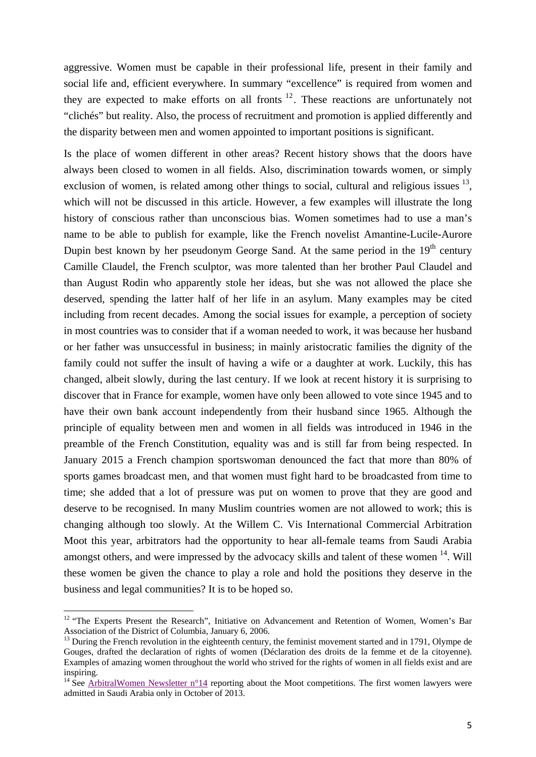aggressive. Women must be capable in their professional life, present in their family and social life and, efficient everywhere. In summary "excellence" is required from women and they are expected to make efforts on all fronts  $12$ . These reactions are unfortunately not "clichés" but reality. Also, the process of recruitment and promotion is applied differently and the disparity between men and women appointed to important positions is significant.

Is the place of women different in other areas? Recent history shows that the doors have always been closed to women in all fields. Also, discrimination towards women, or simply exclusion of women, is related among other things to social, cultural and religious issues  $^{13}$ , which will not be discussed in this article. However, a few examples will illustrate the long history of conscious rather than unconscious bias. Women sometimes had to use a man's name to be able to publish for example, like the French novelist Amantine-Lucile-Aurore Dupin best known by her pseudonym George Sand. At the same period in the  $19<sup>th</sup>$  century Camille Claudel, the French sculptor, was more talented than her brother Paul Claudel and than August Rodin who apparently stole her ideas, but she was not allowed the place she deserved, spending the latter half of her life in an asylum. Many examples may be cited including from recent decades. Among the social issues for example, a perception of society in most countries was to consider that if a woman needed to work, it was because her husband or her father was unsuccessful in business; in mainly aristocratic families the dignity of the family could not suffer the insult of having a wife or a daughter at work. Luckily, this has changed, albeit slowly, during the last century. If we look at recent history it is surprising to discover that in France for example, women have only been allowed to vote since 1945 and to have their own bank account independently from their husband since 1965. Although the principle of equality between men and women in all fields was introduced in 1946 in the preamble of the French Constitution, equality was and is still far from being respected. In January 2015 a French champion sportswoman denounced the fact that more than 80% of sports games broadcast men, and that women must fight hard to be broadcasted from time to time; she added that a lot of pressure was put on women to prove that they are good and deserve to be recognised. In many Muslim countries women are not allowed to work; this is changing although too slowly. At the Willem C. Vis International Commercial Arbitration Moot this year, arbitrators had the opportunity to hear all-female teams from Saudi Arabia amongst others, and were impressed by the advocacy skills and talent of these women  $^{14}$ . Will these women be given the chance to play a role and hold the positions they deserve in the business and legal communities? It is to be hoped so.

<sup>&</sup>lt;sup>12</sup> "The Experts Present the Research", Initiative on Advancement and Retention of Women, Women's Bar Association of the District of Columbia, January 6, 2006.

<sup>&</sup>lt;sup>13</sup> During the French revolution in the eighteenth century, the feminist movement started and in 1791, Olympe de Gouges, drafted the declaration of rights of women (Déclaration des droits de la femme et de la citoyenne). Examples of amazing women throughout the world who strived for the rights of women in all fields exist and are inspiring.

<sup>&</sup>lt;sup>14</sup> See ArbitralWomen Newsletter  $n^{\circ}14$  reporting about the Moot competitions. The first women lawyers were admitted in Saudi Arabia only in October of 2013.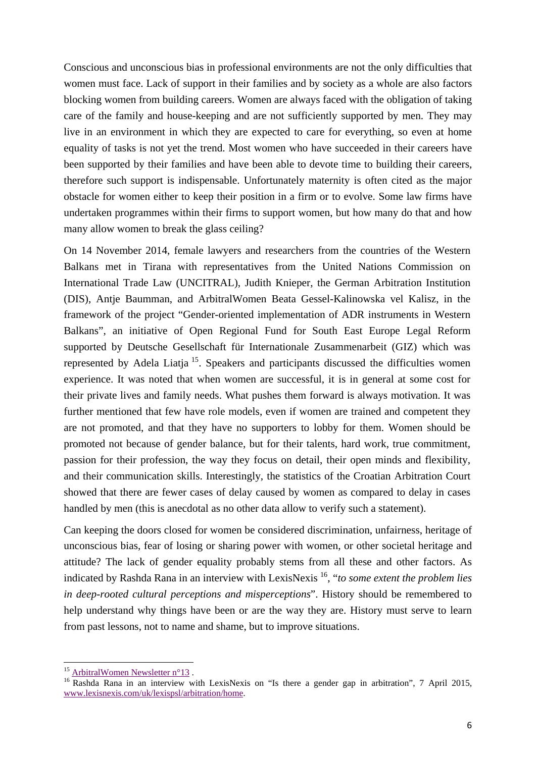Conscious and unconscious bias in professional environments are not the only difficulties that women must face. Lack of support in their families and by society as a whole are also factors blocking women from building careers. Women are always faced with the obligation of taking care of the family and house-keeping and are not sufficiently supported by men. They may live in an environment in which they are expected to care for everything, so even at home equality of tasks is not yet the trend. Most women who have succeeded in their careers have been supported by their families and have been able to devote time to building their careers, therefore such support is indispensable. Unfortunately maternity is often cited as the major obstacle for women either to keep their position in a firm or to evolve. Some law firms have undertaken programmes within their firms to support women, but how many do that and how many allow women to break the glass ceiling?

On 14 November 2014, female lawyers and researchers from the countries of the Western Balkans met in Tirana with representatives from the United Nations Commission on International Trade Law (UNCITRAL), Judith Knieper, the German Arbitration Institution (DIS), Antje Baumman, and ArbitralWomen Beata Gessel-Kalinowska vel Kalisz, in the framework of the project "Gender-oriented implementation of ADR instruments in Western Balkans", an initiative of Open Regional Fund for South East Europe Legal Reform supported by Deutsche Gesellschaft für Internationale Zusammenarbeit (GIZ) which was represented by Adela Liatja 15. Speakers and participants discussed the difficulties women experience. It was noted that when women are successful, it is in general at some cost for their private lives and family needs. What pushes them forward is always motivation. It was further mentioned that few have role models, even if women are trained and competent they are not promoted, and that they have no supporters to lobby for them. Women should be promoted not because of gender balance, but for their talents, hard work, true commitment, passion for their profession, the way they focus on detail, their open minds and flexibility, and their communication skills. Interestingly, the statistics of the Croatian Arbitration Court showed that there are fewer cases of delay caused by women as compared to delay in cases handled by men (this is anecdotal as no other data allow to verify such a statement).

Can keeping the doors closed for women be considered discrimination, unfairness, heritage of unconscious bias, fear of losing or sharing power with women, or other societal heritage and attitude? The lack of gender equality probably stems from all these and other factors. As indicated by Rashda Rana in an interview with LexisNexis 16, "*to some extent the problem lies in deep-rooted cultural perceptions and misperceptions*". History should be remembered to help understand why things have been or are the way they are. History must serve to learn from past lessons, not to name and shame, but to improve situations.

<sup>&</sup>lt;sup>15</sup> ArbitralWomen Newsletter n°13.

<sup>&</sup>lt;sup>16</sup> Rashda Rana in an interview with LexisNexis on "Is there a gender gap in arbitration", 7 April 2015, www.lexisnexis.com/uk/lexispsl/arbitration/home.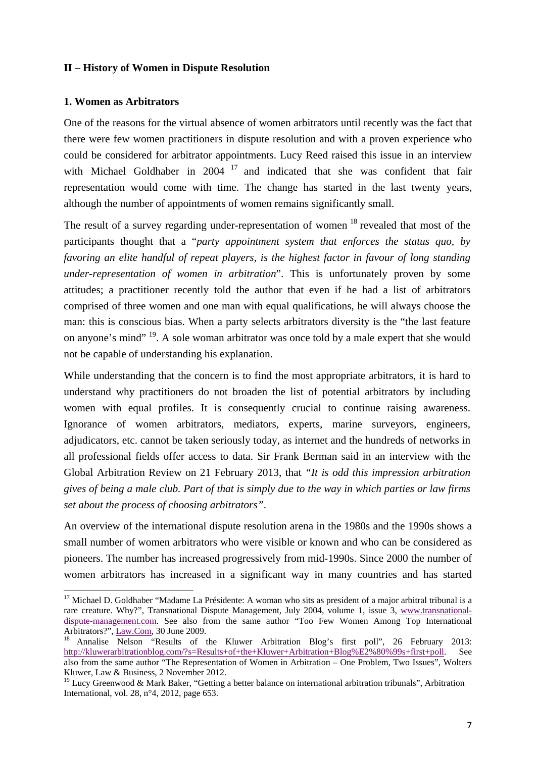#### **II – History of Women in Dispute Resolution**

#### **1. Women as Arbitrators**

One of the reasons for the virtual absence of women arbitrators until recently was the fact that there were few women practitioners in dispute resolution and with a proven experience who could be considered for arbitrator appointments. Lucy Reed raised this issue in an interview with Michael Goldhaber in 2004 <sup>17</sup> and indicated that she was confident that fair representation would come with time. The change has started in the last twenty years, although the number of appointments of women remains significantly small.

The result of a survey regarding under-representation of women  $18$  revealed that most of the participants thought that a "*party appointment system that enforces the status quo, by favoring an elite handful of repeat players, is the highest factor in favour of long standing under-representation of women in arbitration*". This is unfortunately proven by some attitudes; a practitioner recently told the author that even if he had a list of arbitrators comprised of three women and one man with equal qualifications, he will always choose the man: this is conscious bias. When a party selects arbitrators diversity is the "the last feature on anyone's mind" 19. A sole woman arbitrator was once told by a male expert that she would not be capable of understanding his explanation.

While understanding that the concern is to find the most appropriate arbitrators, it is hard to understand why practitioners do not broaden the list of potential arbitrators by including women with equal profiles. It is consequently crucial to continue raising awareness. Ignorance of women arbitrators, mediators, experts, marine surveyors, engineers, adjudicators, etc. cannot be taken seriously today, as internet and the hundreds of networks in all professional fields offer access to data. Sir Frank Berman said in an interview with the Global Arbitration Review on 21 February 2013, that *"It is odd this impression arbitration gives of being a male club. Part of that is simply due to the way in which parties or law firms set about the process of choosing arbitrators"*.

An overview of the international dispute resolution arena in the 1980s and the 1990s shows a small number of women arbitrators who were visible or known and who can be considered as pioneers. The number has increased progressively from mid-1990s. Since 2000 the number of women arbitrators has increased in a significant way in many countries and has started

<sup>&</sup>lt;sup>17</sup> Michael D. Goldhaber "Madame La Présidente: A woman who sits as president of a major arbitral tribunal is a rare creature. Why?", Transnational Dispute Management, July 2004, volume 1, issue 3, www.transnationaldispute-management.com. See also from the same author "Too Few Women Among Top International

Arbitrators?", <u>Law.Com</u>, 30 June 2009.<br><sup>18</sup> Annalise Nelson "Results of the Kluwer Arbitration Blog's first poll", 26 February 2013: http://kluwerarbitrationblog.com/?s=Results+of+the+Kluwer+Arbitration+Blog%E2%80%99s+first+poll. See also from the same author "The Representation of Women in Arbitration – One Problem, Two Issues", Wolters Kluwer, Law & Business, 2 November 2012.

<sup>&</sup>lt;sup>19</sup> Lucy Greenwood & Mark Baker, "Getting a better balance on international arbitration tribunals", Arbitration International, vol. 28, n°4, 2012, page 653.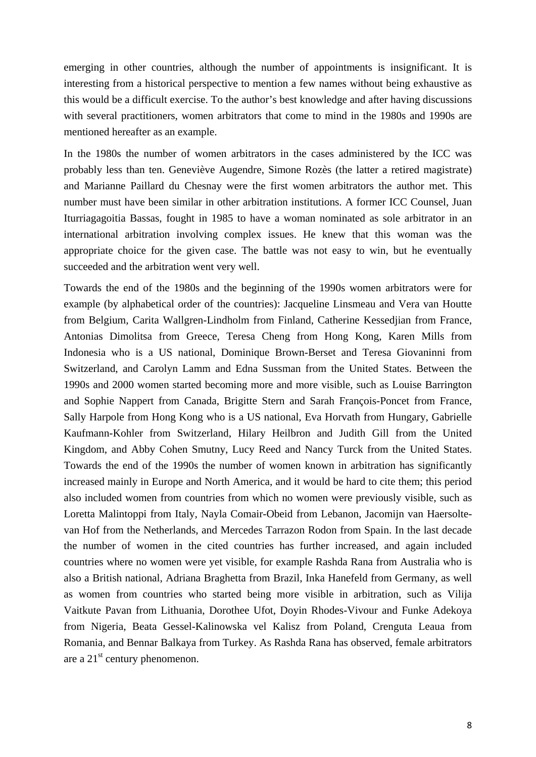emerging in other countries, although the number of appointments is insignificant. It is interesting from a historical perspective to mention a few names without being exhaustive as this would be a difficult exercise. To the author's best knowledge and after having discussions with several practitioners, women arbitrators that come to mind in the 1980s and 1990s are mentioned hereafter as an example.

In the 1980s the number of women arbitrators in the cases administered by the ICC was probably less than ten. Geneviève Augendre, Simone Rozès (the latter a retired magistrate) and Marianne Paillard du Chesnay were the first women arbitrators the author met. This number must have been similar in other arbitration institutions. A former ICC Counsel, Juan Iturriagagoitia Bassas, fought in 1985 to have a woman nominated as sole arbitrator in an international arbitration involving complex issues. He knew that this woman was the appropriate choice for the given case. The battle was not easy to win, but he eventually succeeded and the arbitration went very well.

Towards the end of the 1980s and the beginning of the 1990s women arbitrators were for example (by alphabetical order of the countries): Jacqueline Linsmeau and Vera van Houtte from Belgium, Carita Wallgren-Lindholm from Finland, Catherine Kessedjian from France, Antonias Dimolitsa from Greece, Teresa Cheng from Hong Kong, Karen Mills from Indonesia who is a US national, Dominique Brown-Berset and Teresa Giovaninni from Switzerland, and Carolyn Lamm and Edna Sussman from the United States. Between the 1990s and 2000 women started becoming more and more visible, such as Louise Barrington and Sophie Nappert from Canada, Brigitte Stern and Sarah François-Poncet from France, Sally Harpole from Hong Kong who is a US national, Eva Horvath from Hungary, Gabrielle Kaufmann-Kohler from Switzerland, Hilary Heilbron and Judith Gill from the United Kingdom, and Abby Cohen Smutny, Lucy Reed and Nancy Turck from the United States. Towards the end of the 1990s the number of women known in arbitration has significantly increased mainly in Europe and North America, and it would be hard to cite them; this period also included women from countries from which no women were previously visible, such as Loretta Malintoppi from Italy, Nayla Comair-Obeid from Lebanon, Jacomijn van Haersoltevan Hof from the Netherlands, and Mercedes Tarrazon Rodon from Spain. In the last decade the number of women in the cited countries has further increased, and again included countries where no women were yet visible, for example Rashda Rana from Australia who is also a British national, Adriana Braghetta from Brazil, Inka Hanefeld from Germany, as well as women from countries who started being more visible in arbitration, such as Vilija Vaitkute Pavan from Lithuania, Dorothee Ufot, Doyin Rhodes-Vivour and Funke Adekoya from Nigeria, Beata Gessel-Kalinowska vel Kalisz from Poland, Crenguta Leaua from Romania, and Bennar Balkaya from Turkey. As Rashda Rana has observed, female arbitrators are a  $21<sup>st</sup>$  century phenomenon.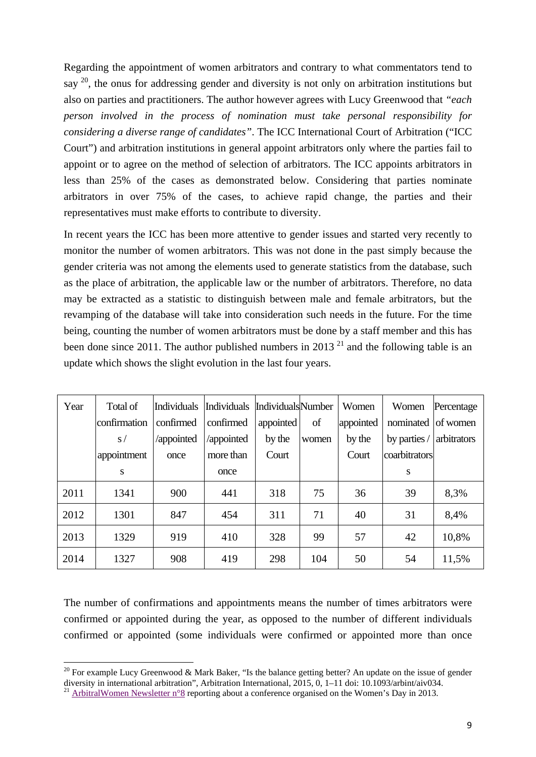Regarding the appointment of women arbitrators and contrary to what commentators tend to say  $^{20}$ , the onus for addressing gender and diversity is not only on arbitration institutions but also on parties and practitioners. The author however agrees with Lucy Greenwood that *"each person involved in the process of nomination must take personal responsibility for considering a diverse range of candidates"*. The ICC International Court of Arbitration ("ICC Court") and arbitration institutions in general appoint arbitrators only where the parties fail to appoint or to agree on the method of selection of arbitrators. The ICC appoints arbitrators in less than 25% of the cases as demonstrated below. Considering that parties nominate arbitrators in over 75% of the cases, to achieve rapid change, the parties and their representatives must make efforts to contribute to diversity.

In recent years the ICC has been more attentive to gender issues and started very recently to monitor the number of women arbitrators. This was not done in the past simply because the gender criteria was not among the elements used to generate statistics from the database, such as the place of arbitration, the applicable law or the number of arbitrators. Therefore, no data may be extracted as a statistic to distinguish between male and female arbitrators, but the revamping of the database will take into consideration such needs in the future. For the time being, counting the number of women arbitrators must be done by a staff member and this has been done since 2011. The author published numbers in 2013<sup>21</sup> and the following table is an update which shows the slight evolution in the last four years.

| Year | Total of     | Individuals | Individuals Individuals Number |           |       | Women     | Women              | Percentage  |
|------|--------------|-------------|--------------------------------|-----------|-------|-----------|--------------------|-------------|
|      | confirmation | confirmed   | confirmed                      | appointed | of    | appointed | nominated of women |             |
|      | S/           | /appointed  | /appointed                     | by the    | women | by the    | by parties /       | arbitrators |
|      | appointment  | once        | more than                      | Court     |       | Court     | coarbitrators      |             |
|      | S            |             | once                           |           |       |           | S                  |             |
| 2011 | 1341         | 900         | 441                            | 318       | 75    | 36        | 39                 | 8,3%        |
| 2012 | 1301         | 847         | 454                            | 311       | 71    | 40        | 31                 | 8,4%        |
| 2013 | 1329         | 919         | 410                            | 328       | 99    | 57        | 42                 | 10,8%       |
| 2014 | 1327         | 908         | 419                            | 298       | 104   | 50        | 54                 | 11,5%       |

The number of confirmations and appointments means the number of times arbitrators were confirmed or appointed during the year, as opposed to the number of different individuals confirmed or appointed (some individuals were confirmed or appointed more than once

<sup>&</sup>lt;sup>20</sup> For example Lucy Greenwood & Mark Baker, "Is the balance getting better? An update on the issue of gender diversity in international arbitration", Arbitration International, 2015, 0, 1–11 doi: 10.1093/arbint/aiv034.

<sup>&</sup>lt;sup>21</sup> Arbitral Women Newsletter n<sup>o</sup> eporting about a conference organised on the Women's Day in 2013.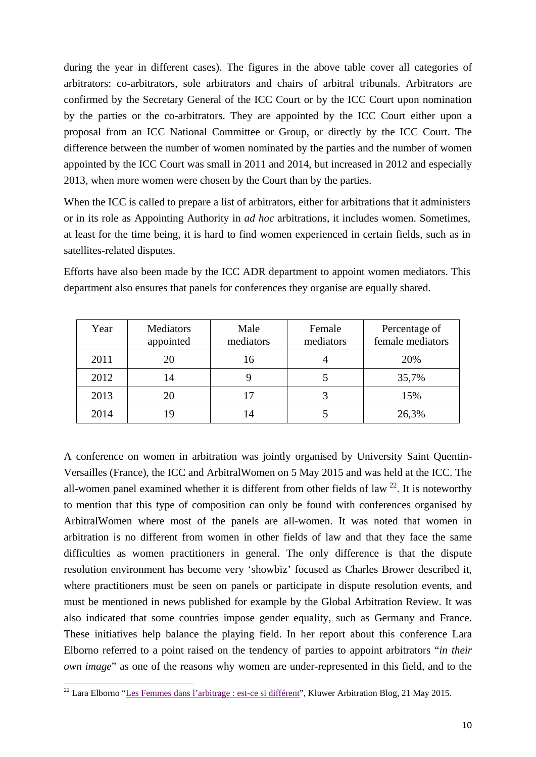during the year in different cases). The figures in the above table cover all categories of arbitrators: co-arbitrators, sole arbitrators and chairs of arbitral tribunals. Arbitrators are confirmed by the Secretary General of the ICC Court or by the ICC Court upon nomination by the parties or the co-arbitrators. They are appointed by the ICC Court either upon a proposal from an ICC National Committee or Group, or directly by the ICC Court. The difference between the number of women nominated by the parties and the number of women appointed by the ICC Court was small in 2011 and 2014, but increased in 2012 and especially 2013, when more women were chosen by the Court than by the parties.

When the ICC is called to prepare a list of arbitrators, either for arbitrations that it administers or in its role as Appointing Authority in *ad hoc* arbitrations, it includes women. Sometimes, at least for the time being, it is hard to find women experienced in certain fields, such as in satellites-related disputes.

| Year | Mediators<br>appointed | Male<br>mediators | Female<br>mediators | Percentage of<br>female mediators |
|------|------------------------|-------------------|---------------------|-----------------------------------|
| 2011 | 20                     | 16                |                     | 20%                               |
| 2012 | 14                     |                   |                     | 35,7%                             |
| 2013 | 20                     | 17                |                     | 15%                               |
| 2014 | 19                     | 14                |                     | 26,3%                             |

Efforts have also been made by the ICC ADR department to appoint women mediators. This department also ensures that panels for conferences they organise are equally shared.

A conference on women in arbitration was jointly organised by University Saint Quentin-Versailles (France), the ICC and ArbitralWomen on 5 May 2015 and was held at the ICC. The all-women panel examined whether it is different from other fields of law  $22$ . It is noteworthy to mention that this type of composition can only be found with conferences organised by ArbitralWomen where most of the panels are all-women. It was noted that women in arbitration is no different from women in other fields of law and that they face the same difficulties as women practitioners in general. The only difference is that the dispute resolution environment has become very 'showbiz' focused as Charles Brower described it, where practitioners must be seen on panels or participate in dispute resolution events, and must be mentioned in news published for example by the Global Arbitration Review. It was also indicated that some countries impose gender equality, such as Germany and France. These initiatives help balance the playing field. In her report about this conference Lara Elborno referred to a point raised on the tendency of parties to appoint arbitrators "*in their own image*" as one of the reasons why women are under-represented in this field, and to the

 <sup>22</sup> Lara Elborno "Les Femmes dans l'arbitrage : est-ce si différent", Kluwer Arbitration Blog, 21 May 2015.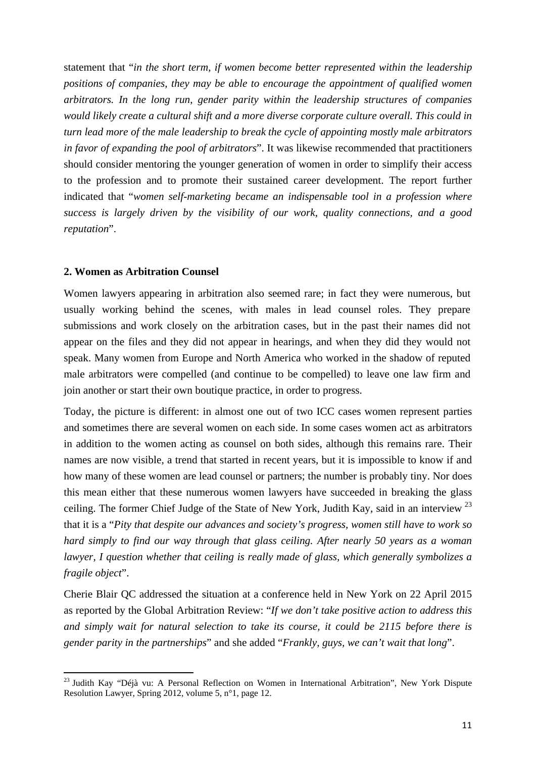statement that "*in the short term, if women become better represented within the leadership positions of companies, they may be able to encourage the appointment of qualified women arbitrators. In the long run, gender parity within the leadership structures of companies would likely create a cultural shift and a more diverse corporate culture overall. This could in turn lead more of the male leadership to break the cycle of appointing mostly male arbitrators in favor of expanding the pool of arbitrators*". It was likewise recommended that practitioners should consider mentoring the younger generation of women in order to simplify their access to the profession and to promote their sustained career development. The report further indicated that "*women self-marketing became an indispensable tool in a profession where success is largely driven by the visibility of our work, quality connections, and a good reputation*".

## **2. Women as Arbitration Counsel**

Women lawyers appearing in arbitration also seemed rare; in fact they were numerous, but usually working behind the scenes, with males in lead counsel roles. They prepare submissions and work closely on the arbitration cases, but in the past their names did not appear on the files and they did not appear in hearings, and when they did they would not speak. Many women from Europe and North America who worked in the shadow of reputed male arbitrators were compelled (and continue to be compelled) to leave one law firm and join another or start their own boutique practice, in order to progress.

Today, the picture is different: in almost one out of two ICC cases women represent parties and sometimes there are several women on each side. In some cases women act as arbitrators in addition to the women acting as counsel on both sides, although this remains rare. Their names are now visible, a trend that started in recent years, but it is impossible to know if and how many of these women are lead counsel or partners; the number is probably tiny. Nor does this mean either that these numerous women lawyers have succeeded in breaking the glass ceiling. The former Chief Judge of the State of New York, Judith Kay, said in an interview  $^{23}$ that it is a "*Pity that despite our advances and society's progress, women still have to work so hard simply to find our way through that glass ceiling. After nearly 50 years as a woman lawyer, I question whether that ceiling is really made of glass, which generally symbolizes a fragile object*".

Cherie Blair QC addressed the situation at a conference held in New York on 22 April 2015 as reported by the Global Arbitration Review: "*If we don't take positive action to address this and simply wait for natural selection to take its course, it could be 2115 before there is gender parity in the partnerships*" and she added "*Frankly, guys, we can't wait that long*".

<sup>&</sup>lt;sup>23</sup> Judith Kay "Déjà vu: A Personal Reflection on Women in International Arbitration", New York Dispute Resolution Lawyer, Spring 2012, volume 5, n°1, page 12.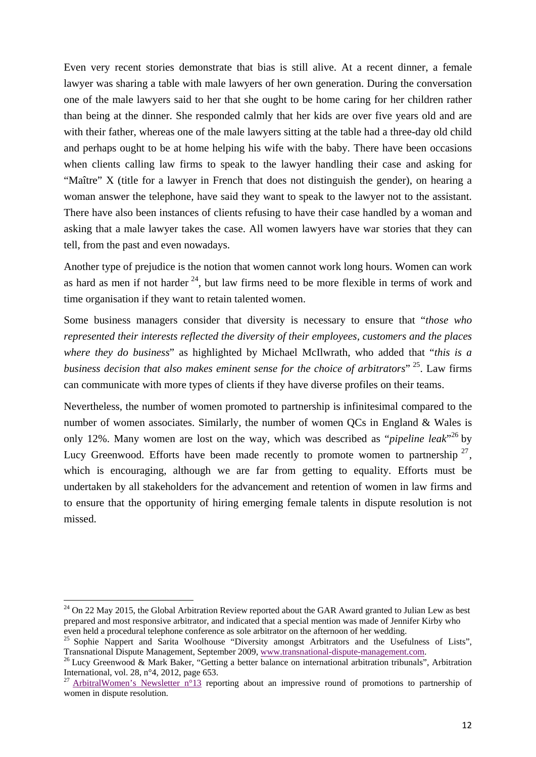Even very recent stories demonstrate that bias is still alive. At a recent dinner, a female lawyer was sharing a table with male lawyers of her own generation. During the conversation one of the male lawyers said to her that she ought to be home caring for her children rather than being at the dinner. She responded calmly that her kids are over five years old and are with their father, whereas one of the male lawyers sitting at the table had a three-day old child and perhaps ought to be at home helping his wife with the baby. There have been occasions when clients calling law firms to speak to the lawyer handling their case and asking for "Maître" X (title for a lawyer in French that does not distinguish the gender), on hearing a woman answer the telephone, have said they want to speak to the lawyer not to the assistant. There have also been instances of clients refusing to have their case handled by a woman and asking that a male lawyer takes the case. All women lawyers have war stories that they can tell, from the past and even nowadays.

Another type of prejudice is the notion that women cannot work long hours. Women can work as hard as men if not harder  $^{24}$ , but law firms need to be more flexible in terms of work and time organisation if they want to retain talented women.

Some business managers consider that diversity is necessary to ensure that "*those who represented their interests reflected the diversity of their employees, customers and the places where they do business*" as highlighted by Michael McIlwrath, who added that "*this is a business decision that also makes eminent sense for the choice of arbitrators*" 25. Law firms can communicate with more types of clients if they have diverse profiles on their teams.

Nevertheless, the number of women promoted to partnership is infinitesimal compared to the number of women associates. Similarly, the number of women QCs in England & Wales is only 12%. Many women are lost on the way, which was described as "*pipeline leak*"<sup>26</sup> by Lucy Greenwood. Efforts have been made recently to promote women to partnership  $27$ , which is encouraging, although we are far from getting to equality. Efforts must be undertaken by all stakeholders for the advancement and retention of women in law firms and to ensure that the opportunity of hiring emerging female talents in dispute resolution is not missed.

 $24$  On 22 May 2015, the Global Arbitration Review reported about the GAR Award granted to Julian Lew as best prepared and most responsive arbitrator, and indicated that a special mention was made of Jennifer Kirby who

even held a procedural telephone conference as sole arbitrator on the afternoon of her wedding.<br><sup>25</sup> Sophie Nappert and Sarita Woolhouse "Diversity amongst Arbitrators and the Usefulness of Lists", Transnational Dispute Management, September 2009, www.transnational-dispute-management.com.<br><sup>26</sup> Lucy Greenwood & Mark Baker, "Getting a better balance on international arbitration tribunals", Arbitration

International, vol. 28, n°4, 2012, page 653.

<sup>&</sup>lt;sup>27</sup> ArbitralWomen's Newsletter n°13 reporting about an impressive round of promotions to partnership of women in dispute resolution.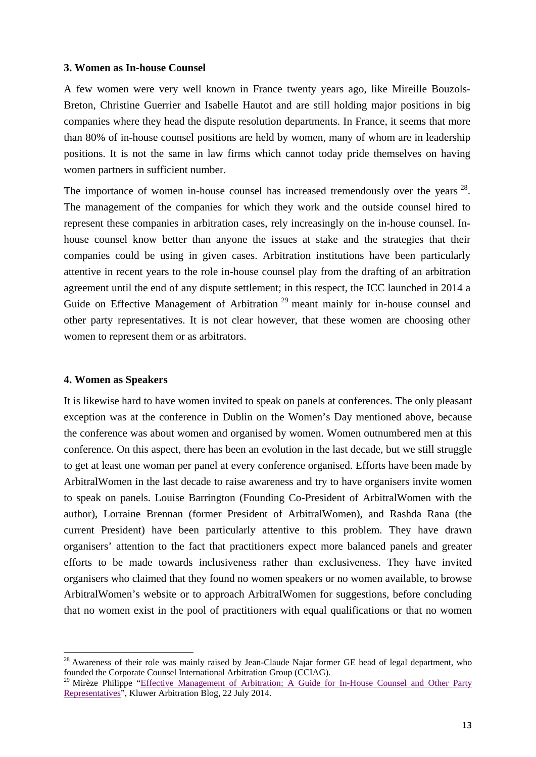#### **3. Women as In-house Counsel**

A few women were very well known in France twenty years ago, like Mireille Bouzols-Breton, Christine Guerrier and Isabelle Hautot and are still holding major positions in big companies where they head the dispute resolution departments. In France, it seems that more than 80% of in-house counsel positions are held by women, many of whom are in leadership positions. It is not the same in law firms which cannot today pride themselves on having women partners in sufficient number.

The importance of women in-house counsel has increased tremendously over the years  $^{28}$ . The management of the companies for which they work and the outside counsel hired to represent these companies in arbitration cases, rely increasingly on the in-house counsel. Inhouse counsel know better than anyone the issues at stake and the strategies that their companies could be using in given cases. Arbitration institutions have been particularly attentive in recent years to the role in-house counsel play from the drafting of an arbitration agreement until the end of any dispute settlement; in this respect, the ICC launched in 2014 a Guide on Effective Management of Arbitration<sup>29</sup> meant mainly for in-house counsel and other party representatives. It is not clear however, that these women are choosing other women to represent them or as arbitrators.

# **4. Women as Speakers**

It is likewise hard to have women invited to speak on panels at conferences. The only pleasant exception was at the conference in Dublin on the Women's Day mentioned above, because the conference was about women and organised by women. Women outnumbered men at this conference. On this aspect, there has been an evolution in the last decade, but we still struggle to get at least one woman per panel at every conference organised. Efforts have been made by ArbitralWomen in the last decade to raise awareness and try to have organisers invite women to speak on panels. Louise Barrington (Founding Co-President of ArbitralWomen with the author), Lorraine Brennan (former President of ArbitralWomen), and Rashda Rana (the current President) have been particularly attentive to this problem. They have drawn organisers' attention to the fact that practitioners expect more balanced panels and greater efforts to be made towards inclusiveness rather than exclusiveness. They have invited organisers who claimed that they found no women speakers or no women available, to browse ArbitralWomen's website or to approach ArbitralWomen for suggestions, before concluding that no women exist in the pool of practitioners with equal qualifications or that no women

<sup>&</sup>lt;sup>28</sup> Awareness of their role was mainly raised by Jean-Claude Najar former GE head of legal department, who founded the Corporate Counsel International Arbitration Group (CCIAG).

<sup>&</sup>lt;sup>29</sup> Mirèze Philippe "Effective Management of Arbitration; A Guide for In-House Counsel and Other Party Representatives", Kluwer Arbitration Blog, 22 July 2014.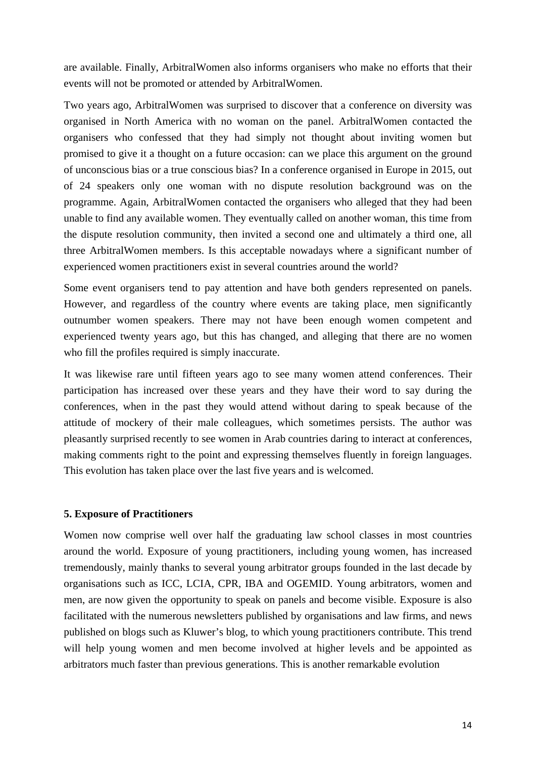are available. Finally, ArbitralWomen also informs organisers who make no efforts that their events will not be promoted or attended by ArbitralWomen.

Two years ago, ArbitralWomen was surprised to discover that a conference on diversity was organised in North America with no woman on the panel. ArbitralWomen contacted the organisers who confessed that they had simply not thought about inviting women but promised to give it a thought on a future occasion: can we place this argument on the ground of unconscious bias or a true conscious bias? In a conference organised in Europe in 2015, out of 24 speakers only one woman with no dispute resolution background was on the programme. Again, ArbitralWomen contacted the organisers who alleged that they had been unable to find any available women. They eventually called on another woman, this time from the dispute resolution community, then invited a second one and ultimately a third one, all three ArbitralWomen members. Is this acceptable nowadays where a significant number of experienced women practitioners exist in several countries around the world?

Some event organisers tend to pay attention and have both genders represented on panels. However, and regardless of the country where events are taking place, men significantly outnumber women speakers. There may not have been enough women competent and experienced twenty years ago, but this has changed, and alleging that there are no women who fill the profiles required is simply inaccurate.

It was likewise rare until fifteen years ago to see many women attend conferences. Their participation has increased over these years and they have their word to say during the conferences, when in the past they would attend without daring to speak because of the attitude of mockery of their male colleagues, which sometimes persists. The author was pleasantly surprised recently to see women in Arab countries daring to interact at conferences, making comments right to the point and expressing themselves fluently in foreign languages. This evolution has taken place over the last five years and is welcomed.

# **5. Exposure of Practitioners**

Women now comprise well over half the graduating law school classes in most countries around the world. Exposure of young practitioners, including young women, has increased tremendously, mainly thanks to several young arbitrator groups founded in the last decade by organisations such as ICC, LCIA, CPR, IBA and OGEMID. Young arbitrators, women and men, are now given the opportunity to speak on panels and become visible. Exposure is also facilitated with the numerous newsletters published by organisations and law firms, and news published on blogs such as Kluwer's blog, to which young practitioners contribute. This trend will help young women and men become involved at higher levels and be appointed as arbitrators much faster than previous generations. This is another remarkable evolution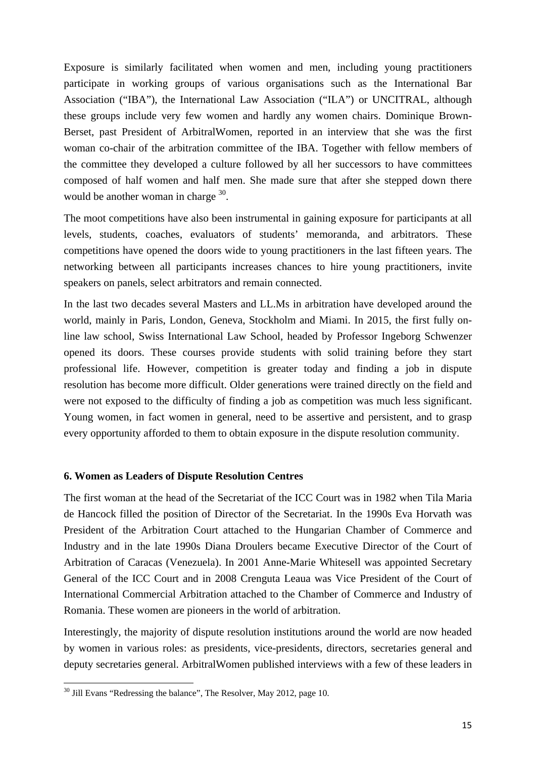Exposure is similarly facilitated when women and men, including young practitioners participate in working groups of various organisations such as the International Bar Association ("IBA"), the International Law Association ("ILA") or UNCITRAL, although these groups include very few women and hardly any women chairs. Dominique Brown-Berset, past President of ArbitralWomen, reported in an interview that she was the first woman co-chair of the arbitration committee of the IBA. Together with fellow members of the committee they developed a culture followed by all her successors to have committees composed of half women and half men. She made sure that after she stepped down there would be another woman in charge <sup>30</sup>.

The moot competitions have also been instrumental in gaining exposure for participants at all levels, students, coaches, evaluators of students' memoranda, and arbitrators. These competitions have opened the doors wide to young practitioners in the last fifteen years. The networking between all participants increases chances to hire young practitioners, invite speakers on panels, select arbitrators and remain connected.

In the last two decades several Masters and LL.Ms in arbitration have developed around the world, mainly in Paris, London, Geneva, Stockholm and Miami. In 2015, the first fully online law school, Swiss International Law School, headed by Professor Ingeborg Schwenzer opened its doors. These courses provide students with solid training before they start professional life. However, competition is greater today and finding a job in dispute resolution has become more difficult. Older generations were trained directly on the field and were not exposed to the difficulty of finding a job as competition was much less significant. Young women, in fact women in general, need to be assertive and persistent, and to grasp every opportunity afforded to them to obtain exposure in the dispute resolution community.

#### **6. Women as Leaders of Dispute Resolution Centres**

The first woman at the head of the Secretariat of the ICC Court was in 1982 when Tila Maria de Hancock filled the position of Director of the Secretariat. In the 1990s Eva Horvath was President of the Arbitration Court attached to the Hungarian Chamber of Commerce and Industry and in the late 1990s Diana Droulers became Executive Director of the Court of Arbitration of Caracas (Venezuela). In 2001 Anne-Marie Whitesell was appointed Secretary General of the ICC Court and in 2008 Crenguta Leaua was Vice President of the Court of International Commercial Arbitration attached to the Chamber of Commerce and Industry of Romania. These women are pioneers in the world of arbitration.

Interestingly, the majority of dispute resolution institutions around the world are now headed by women in various roles: as presidents, vice-presidents, directors, secretaries general and deputy secretaries general. ArbitralWomen published interviews with a few of these leaders in

<sup>&</sup>lt;sup>30</sup> Jill Evans "Redressing the balance", The Resolver, May 2012, page 10.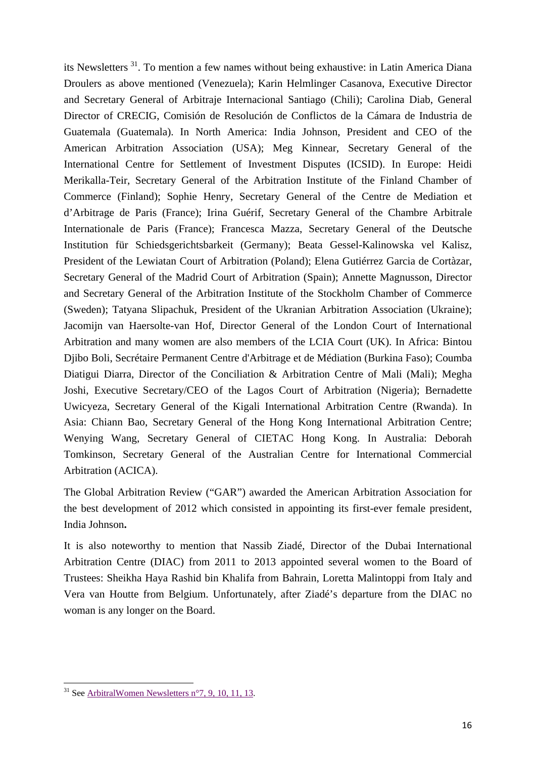its Newsletters 31. To mention a few names without being exhaustive: in Latin America Diana Droulers as above mentioned (Venezuela); Karin Helmlinger Casanova, Executive Director and Secretary General of Arbitraje Internacional Santiago (Chili); Carolina Diab, General Director of CRECIG, Comisión de Resolución de Conflictos de la Cámara de Industria de Guatemala (Guatemala). In North America: India Johnson, President and CEO of the American Arbitration Association (USA); Meg Kinnear, Secretary General of the International Centre for Settlement of Investment Disputes (ICSID). In Europe: Heidi Merikalla-Teir, Secretary General of the Arbitration Institute of the Finland Chamber of Commerce (Finland); Sophie Henry, Secretary General of the Centre de Mediation et d'Arbitrage de Paris (France); Irina Guérif, Secretary General of the Chambre Arbitrale Internationale de Paris (France); Francesca Mazza, Secretary General of the Deutsche Institution für Schiedsgerichtsbarkeit (Germany); Beata Gessel-Kalinowska vel Kalisz, President of the Lewiatan Court of Arbitration (Poland); Elena Gutiérrez Garcia de Cortàzar, Secretary General of the Madrid Court of Arbitration (Spain); Annette Magnusson, Director and Secretary General of the Arbitration Institute of the Stockholm Chamber of Commerce (Sweden); Tatyana Slipachuk, President of the Ukranian Arbitration Association (Ukraine); Jacomijn van Haersolte-van Hof, Director General of the London Court of International Arbitration and many women are also members of the LCIA Court (UK). In Africa: Bintou Djibo Boli, Secrétaire Permanent Centre d'Arbitrage et de Médiation (Burkina Faso); Coumba Diatigui Diarra, Director of the Conciliation & Arbitration Centre of Mali (Mali); Megha Joshi, Executive Secretary/CEO of the Lagos Court of Arbitration (Nigeria); Bernadette Uwicyeza, Secretary General of the Kigali International Arbitration Centre (Rwanda). In Asia: Chiann Bao, Secretary General of the Hong Kong International Arbitration Centre; Wenying Wang, Secretary General of CIETAC Hong Kong. In Australia: Deborah Tomkinson, Secretary General of the Australian Centre for International Commercial Arbitration (ACICA).

The Global Arbitration Review ("GAR") awarded the American Arbitration Association for the best development of 2012 which consisted in appointing its first-ever female president, India Johnson**.**

It is also noteworthy to mention that Nassib Ziadé, Director of the Dubai International Arbitration Centre (DIAC) from 2011 to 2013 appointed several women to the Board of Trustees: Sheikha Haya Rashid bin Khalifa from Bahrain, Loretta Malintoppi from Italy and Vera van Houtte from Belgium. Unfortunately, after Ziadé's departure from the DIAC no woman is any longer on the Board.

 $31$  See ArbitralWomen Newsletters n°7, 9, 10, 11, 13.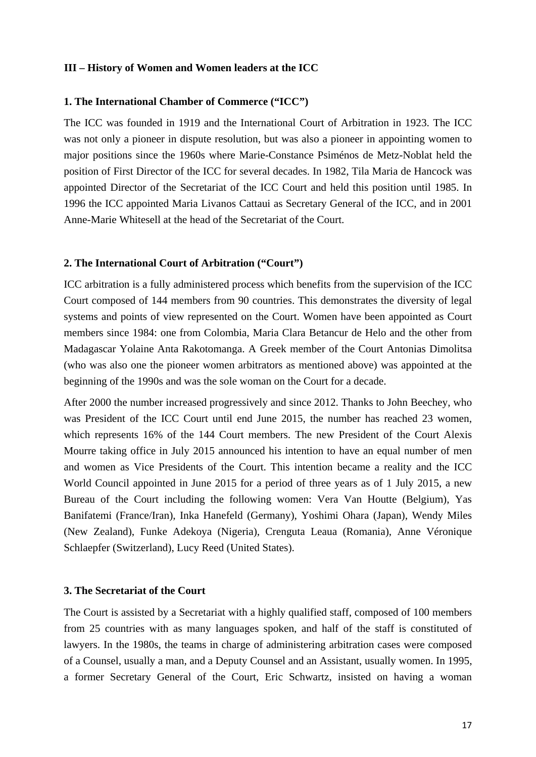#### **III – History of Women and Women leaders at the ICC**

#### **1. The International Chamber of Commerce ("ICC")**

The ICC was founded in 1919 and the International Court of Arbitration in 1923. The ICC was not only a pioneer in dispute resolution, but was also a pioneer in appointing women to major positions since the 1960s where Marie-Constance Psiménos de Metz-Noblat held the position of First Director of the ICC for several decades. In 1982, Tila Maria de Hancock was appointed Director of the Secretariat of the ICC Court and held this position until 1985. In 1996 the ICC appointed Maria Livanos Cattaui as Secretary General of the ICC, and in 2001 Anne-Marie Whitesell at the head of the Secretariat of the Court.

#### **2. The International Court of Arbitration ("Court")**

ICC arbitration is a fully administered process which benefits from the supervision of the ICC Court composed of 144 members from 90 countries. This demonstrates the diversity of legal systems and points of view represented on the Court. Women have been appointed as Court members since 1984: one from Colombia, Maria Clara Betancur de Helo and the other from Madagascar Yolaine Anta Rakotomanga. A Greek member of the Court Antonias Dimolitsa (who was also one the pioneer women arbitrators as mentioned above) was appointed at the beginning of the 1990s and was the sole woman on the Court for a decade.

After 2000 the number increased progressively and since 2012. Thanks to John Beechey, who was President of the ICC Court until end June 2015, the number has reached 23 women, which represents 16% of the 144 Court members. The new President of the Court Alexis Mourre taking office in July 2015 announced his intention to have an equal number of men and women as Vice Presidents of the Court. This intention became a reality and the ICC World Council appointed in June 2015 for a period of three years as of 1 July 2015, a new Bureau of the Court including the following women: Vera Van Houtte (Belgium), Yas Banifatemi (France/Iran), Inka Hanefeld (Germany), Yoshimi Ohara (Japan), Wendy Miles (New Zealand), Funke Adekoya (Nigeria), Crenguta Leaua (Romania), Anne Véronique Schlaepfer (Switzerland), Lucy Reed (United States).

#### **3. The Secretariat of the Court**

The Court is assisted by a Secretariat with a highly qualified staff, composed of 100 members from 25 countries with as many languages spoken, and half of the staff is constituted of lawyers. In the 1980s, the teams in charge of administering arbitration cases were composed of a Counsel, usually a man, and a Deputy Counsel and an Assistant, usually women. In 1995, a former Secretary General of the Court, Eric Schwartz, insisted on having a woman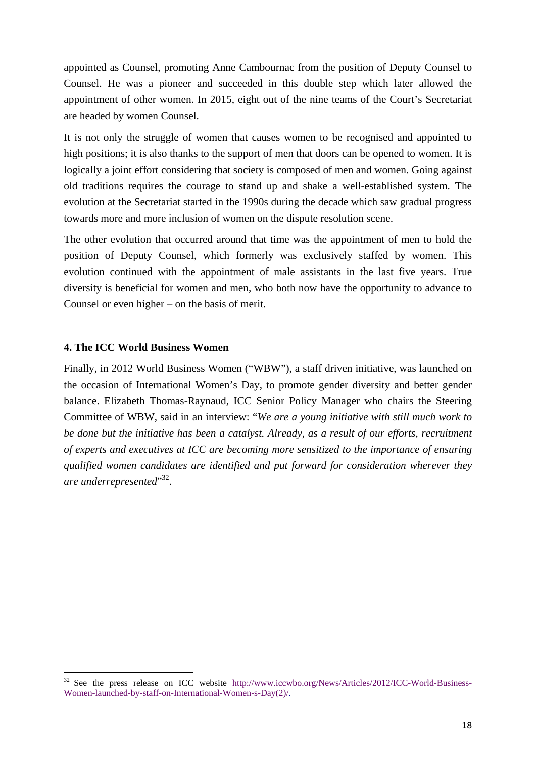appointed as Counsel, promoting Anne Cambournac from the position of Deputy Counsel to Counsel. He was a pioneer and succeeded in this double step which later allowed the appointment of other women. In 2015, eight out of the nine teams of the Court's Secretariat are headed by women Counsel.

It is not only the struggle of women that causes women to be recognised and appointed to high positions; it is also thanks to the support of men that doors can be opened to women. It is logically a joint effort considering that society is composed of men and women. Going against old traditions requires the courage to stand up and shake a well-established system. The evolution at the Secretariat started in the 1990s during the decade which saw gradual progress towards more and more inclusion of women on the dispute resolution scene.

The other evolution that occurred around that time was the appointment of men to hold the position of Deputy Counsel, which formerly was exclusively staffed by women. This evolution continued with the appointment of male assistants in the last five years. True diversity is beneficial for women and men, who both now have the opportunity to advance to Counsel or even higher – on the basis of merit.

## **4. The ICC World Business Women**

Finally, in 2012 World Business Women ("WBW"), a staff driven initiative, was launched on the occasion of International Women's Day, to promote gender diversity and better gender balance. Elizabeth Thomas-Raynaud, ICC Senior Policy Manager who chairs the Steering Committee of WBW, said in an interview: "*We are a young initiative with still much work to be done but the initiative has been a catalyst. Already, as a result of our efforts, recruitment of experts and executives at ICC are becoming more sensitized to the importance of ensuring qualified women candidates are identified and put forward for consideration wherever they are underrepresented*" 32.

See the press release on ICC website http://www.iccwbo.org/News/Articles/2012/ICC-World-Business-Women-launched-by-staff-on-International-Women-s-Day(2)/.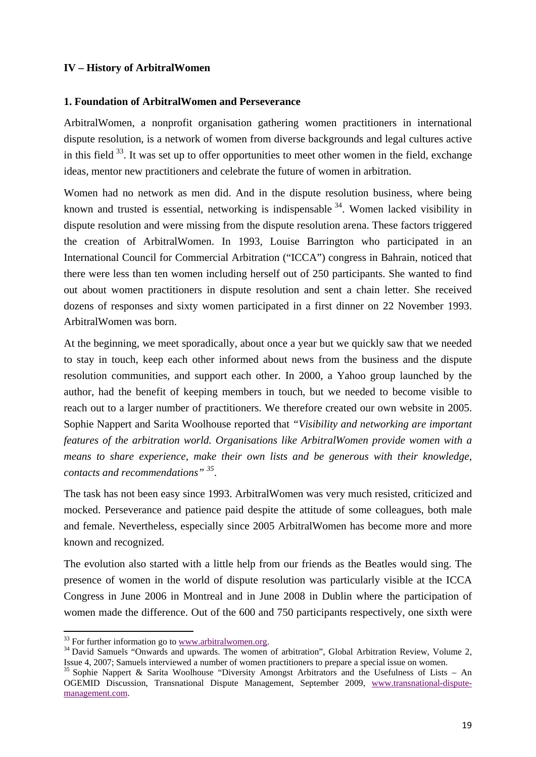#### **IV – History of ArbitralWomen**

#### **1. Foundation of ArbitralWomen and Perseverance**

ArbitralWomen, a nonprofit organisation gathering women practitioners in international dispute resolution, is a network of women from diverse backgrounds and legal cultures active in this field  $33$ . It was set up to offer opportunities to meet other women in the field, exchange ideas, mentor new practitioners and celebrate the future of women in arbitration.

Women had no network as men did. And in the dispute resolution business, where being known and trusted is essential, networking is indispensable  $34$ . Women lacked visibility in dispute resolution and were missing from the dispute resolution arena. These factors triggered the creation of ArbitralWomen. In 1993, Louise Barrington who participated in an International Council for Commercial Arbitration ("ICCA") congress in Bahrain, noticed that there were less than ten women including herself out of 250 participants. She wanted to find out about women practitioners in dispute resolution and sent a chain letter. She received dozens of responses and sixty women participated in a first dinner on 22 November 1993. ArbitralWomen was born.

At the beginning, we meet sporadically, about once a year but we quickly saw that we needed to stay in touch, keep each other informed about news from the business and the dispute resolution communities, and support each other. In 2000, a Yahoo group launched by the author, had the benefit of keeping members in touch, but we needed to become visible to reach out to a larger number of practitioners. We therefore created our own website in 2005. Sophie Nappert and Sarita Woolhouse reported that *"Visibility and networking are important features of the arbitration world. Organisations like ArbitralWomen provide women with a means to share experience, make their own lists and be generous with their knowledge, contacts and recommendations" 35*.

The task has not been easy since 1993. ArbitralWomen was very much resisted, criticized and mocked. Perseverance and patience paid despite the attitude of some colleagues, both male and female. Nevertheless, especially since 2005 ArbitralWomen has become more and more known and recognized.

The evolution also started with a little help from our friends as the Beatles would sing. The presence of women in the world of dispute resolution was particularly visible at the ICCA Congress in June 2006 in Montreal and in June 2008 in Dublin where the participation of women made the difference. Out of the 600 and 750 participants respectively, one sixth were

 $33$  For further information go to www.arbitralwomen.org.

<sup>&</sup>lt;sup>34</sup> David Samuels "Onwards and upwards. The women of arbitration", Global Arbitration Review, Volume 2, Issue 4, 2007; Samuels interviewed a number of women practitioners to prepare a special issue on women. 35 Sophie Nappert & Sarita Woolhouse "Diversity Amongst Arbitrators and the Usefulness of Lists – An

OGEMID Discussion, Transnational Dispute Management, September 2009, www.transnational-disputemanagement.com.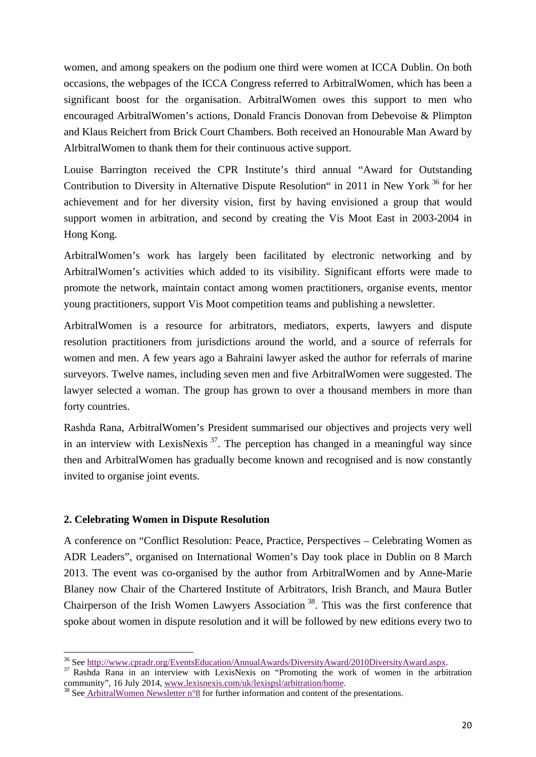women, and among speakers on the podium one third were women at ICCA Dublin. On both occasions, the webpages of the ICCA Congress referred to ArbitralWomen, which has been a significant boost for the organisation. ArbitralWomen owes this support to men who encouraged ArbitralWomen's actions, Donald Francis Donovan from Debevoise & Plimpton and Klaus Reichert from Brick Court Chambers. Both received an Honourable Man Award by AlrbitralWomen to thank them for their continuous active support.

Louise Barrington received the CPR Institute's third annual "Award for Outstanding Contribution to Diversity in Alternative Dispute Resolution" in 2011 in New York  $36$  for her achievement and for her diversity vision, first by having envisioned a group that would support women in arbitration, and second by creating the Vis Moot East in 2003-2004 in Hong Kong.

ArbitralWomen's work has largely been facilitated by electronic networking and by ArbitralWomen's activities which added to its visibility. Significant efforts were made to promote the network, maintain contact among women practitioners, organise events, mentor young practitioners, support Vis Moot competition teams and publishing a newsletter.

ArbitralWomen is a resource for arbitrators, mediators, experts, lawyers and dispute resolution practitioners from jurisdictions around the world, and a source of referrals for women and men. A few years ago a Bahraini lawyer asked the author for referrals of marine surveyors. Twelve names, including seven men and five ArbitralWomen were suggested. The lawyer selected a woman. The group has grown to over a thousand members in more than forty countries.

Rashda Rana, ArbitralWomen's President summarised our objectives and projects very well in an interview with LexisNexis  $3^7$ . The perception has changed in a meaningful way since then and ArbitralWomen has gradually become known and recognised and is now constantly invited to organise joint events.

# **2. Celebrating Women in Dispute Resolution**

A conference on "Conflict Resolution: Peace, Practice, Perspectives – Celebrating Women as ADR Leaders", organised on International Women's Day took place in Dublin on 8 March 2013. The event was co-organised by the author from ArbitralWomen and by Anne-Marie Blaney now Chair of the Chartered Institute of Arbitrators, Irish Branch, and Maura Butler Chairperson of the Irish Women Lawyers Association 38. This was the first conference that spoke about women in dispute resolution and it will be followed by new editions every two to

<sup>&</sup>lt;sup>36</sup> See http://www.cpradr.org/EventsEducation/AnnualAwards/DiversityAward/2010DiversityAward.aspx.  $37$  Rashda Rana in an interview with LexisNexis on "Promoting the work of women in the arbitration

community", 16 July 2014, www.lexisnexis.com/uk/lexispsl/arbitration/home.<br><sup>38</sup> See ArbitralWomen Newsletter n°8 for further information and content of the presentations.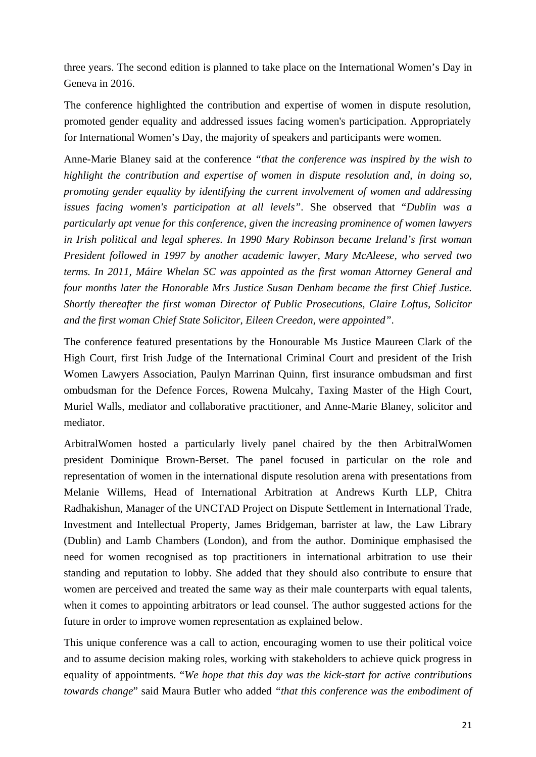three years. The second edition is planned to take place on the International Women's Day in Geneva in 2016.

The conference highlighted the contribution and expertise of women in dispute resolution, promoted gender equality and addressed issues facing women's participation. Appropriately for International Women's Day, the majority of speakers and participants were women.

Anne-Marie Blaney said at the conference *"that the conference was inspired by the wish to highlight the contribution and expertise of women in dispute resolution and, in doing so, promoting gender equality by identifying the current involvement of women and addressing issues facing women's participation at all levels"*. She observed that "*Dublin was a particularly apt venue for this conference, given the increasing prominence of women lawyers in Irish political and legal spheres. In 1990 Mary Robinson became Ireland's first woman President followed in 1997 by another academic lawyer, Mary McAleese, who served two terms. In 2011, Máire Whelan SC was appointed as the first woman Attorney General and four months later the Honorable Mrs Justice Susan Denham became the first Chief Justice. Shortly thereafter the first woman Director of Public Prosecutions, Claire Loftus, Solicitor and the first woman Chief State Solicitor, Eileen Creedon, were appointed"*.

The conference featured presentations by the Honourable Ms Justice Maureen Clark of the High Court, first Irish Judge of the International Criminal Court and president of the Irish Women Lawyers Association, Paulyn Marrinan Quinn, first insurance ombudsman and first ombudsman for the Defence Forces, Rowena Mulcahy, Taxing Master of the High Court, Muriel Walls, mediator and collaborative practitioner, and Anne-Marie Blaney, solicitor and mediator.

ArbitralWomen hosted a particularly lively panel chaired by the then ArbitralWomen president Dominique Brown-Berset. The panel focused in particular on the role and representation of women in the international dispute resolution arena with presentations from Melanie Willems, Head of International Arbitration at Andrews Kurth LLP, Chitra Radhakishun, Manager of the UNCTAD Project on Dispute Settlement in International Trade, Investment and Intellectual Property, James Bridgeman, barrister at law, the Law Library (Dublin) and Lamb Chambers (London), and from the author. Dominique emphasised the need for women recognised as top practitioners in international arbitration to use their standing and reputation to lobby. She added that they should also contribute to ensure that women are perceived and treated the same way as their male counterparts with equal talents, when it comes to appointing arbitrators or lead counsel. The author suggested actions for the future in order to improve women representation as explained below.

This unique conference was a call to action, encouraging women to use their political voice and to assume decision making roles, working with stakeholders to achieve quick progress in equality of appointments. "*We hope that this day was the kick-start for active contributions towards change*" said Maura Butler who added *"that this conference was the embodiment of*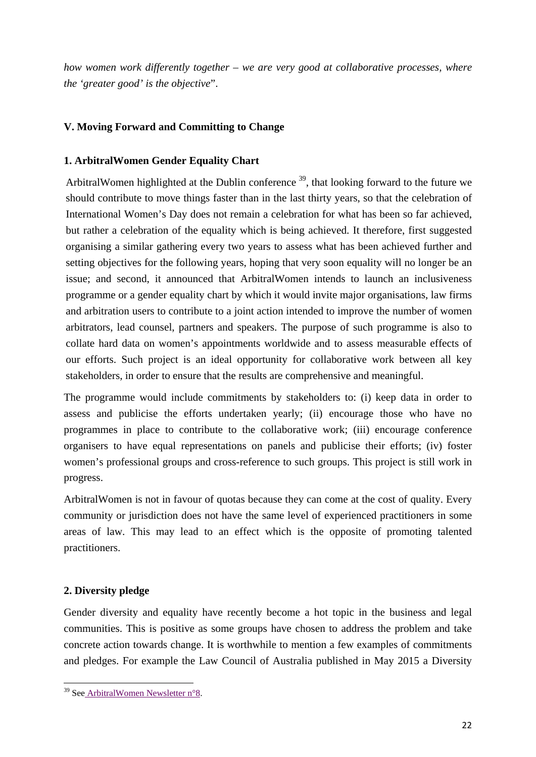*how women work differently together – we are very good at collaborative processes, where the 'greater good' is the objective*".

# **V. Moving Forward and Committing to Change**

# **1. ArbitralWomen Gender Equality Chart**

ArbitralWomen highlighted at the Dublin conference  $39$ , that looking forward to the future we should contribute to move things faster than in the last thirty years, so that the celebration of International Women's Day does not remain a celebration for what has been so far achieved, but rather a celebration of the equality which is being achieved. It therefore, first suggested organising a similar gathering every two years to assess what has been achieved further and setting objectives for the following years, hoping that very soon equality will no longer be an issue; and second, it announced that ArbitralWomen intends to launch an inclusiveness programme or a gender equality chart by which it would invite major organisations, law firms and arbitration users to contribute to a joint action intended to improve the number of women arbitrators, lead counsel, partners and speakers. The purpose of such programme is also to collate hard data on women's appointments worldwide and to assess measurable effects of our efforts. Such project is an ideal opportunity for collaborative work between all key stakeholders, in order to ensure that the results are comprehensive and meaningful.

The programme would include commitments by stakeholders to: (i) keep data in order to assess and publicise the efforts undertaken yearly; (ii) encourage those who have no programmes in place to contribute to the collaborative work; (iii) encourage conference organisers to have equal representations on panels and publicise their efforts; (iv) foster women's professional groups and cross-reference to such groups. This project is still work in progress.

ArbitralWomen is not in favour of quotas because they can come at the cost of quality. Every community or jurisdiction does not have the same level of experienced practitioners in some areas of law. This may lead to an effect which is the opposite of promoting talented practitioners.

# **2. Diversity pledge**

Gender diversity and equality have recently become a hot topic in the business and legal communities. This is positive as some groups have chosen to address the problem and take concrete action towards change. It is worthwhile to mention a few examples of commitments and pledges. For example the Law Council of Australia published in May 2015 a Diversity

 <sup>39</sup> See ArbitralWomen Newsletter n°8.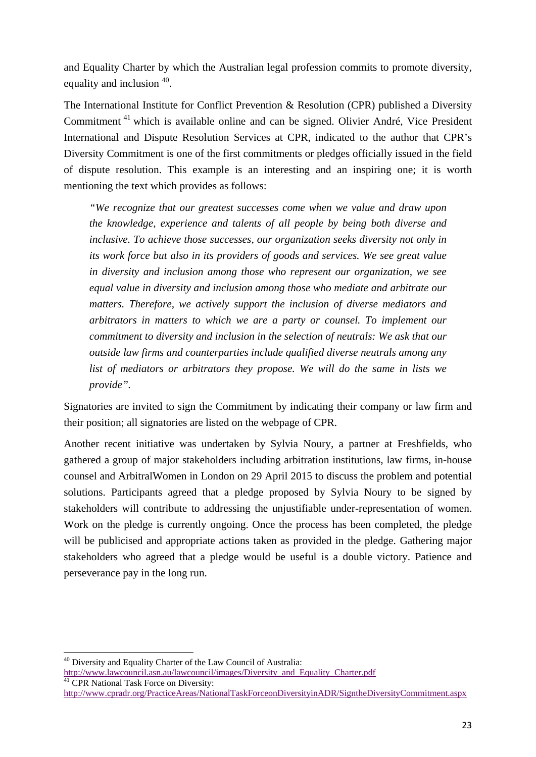and Equality Charter by which the Australian legal profession commits to promote diversity, equality and inclusion <sup>40</sup>.

The International Institute for Conflict Prevention & Resolution (CPR) published a Diversity Commitment 41 which is available online and can be signed. Olivier André, Vice President International and Dispute Resolution Services at CPR, indicated to the author that CPR's Diversity Commitment is one of the first commitments or pledges officially issued in the field of dispute resolution. This example is an interesting and an inspiring one; it is worth mentioning the text which provides as follows:

*"We recognize that our greatest successes come when we value and draw upon the knowledge, experience and talents of all people by being both diverse and inclusive. To achieve those successes, our organization seeks diversity not only in its work force but also in its providers of goods and services. We see great value in diversity and inclusion among those who represent our organization, we see equal value in diversity and inclusion among those who mediate and arbitrate our matters. Therefore, we actively support the inclusion of diverse mediators and arbitrators in matters to which we are a party or counsel. To implement our commitment to diversity and inclusion in the selection of neutrals: We ask that our outside law firms and counterparties include qualified diverse neutrals among any list of mediators or arbitrators they propose. We will do the same in lists we provide".* 

Signatories are invited to sign the Commitment by indicating their company or law firm and their position; all signatories are listed on the webpage of CPR.

Another recent initiative was undertaken by Sylvia Noury, a partner at Freshfields, who gathered a group of major stakeholders including arbitration institutions, law firms, in-house counsel and ArbitralWomen in London on 29 April 2015 to discuss the problem and potential solutions. Participants agreed that a pledge proposed by Sylvia Noury to be signed by stakeholders will contribute to addressing the unjustifiable under-representation of women. Work on the pledge is currently ongoing. Once the process has been completed, the pledge will be publicised and appropriate actions taken as provided in the pledge. Gathering major stakeholders who agreed that a pledge would be useful is a double victory. Patience and perseverance pay in the long run.

<sup>40</sup> Diversity and Equality Charter of the Law Council of Australia: http://www.lawcouncil.asn.au/lawcouncil/images/Diversity\_and\_Equality\_Charter.pdf <sup>41</sup> CPR National Task Force on Diversity:

http://www.cpradr.org/PracticeAreas/NationalTaskForceonDiversityinADR/SigntheDiversityCommitment.aspx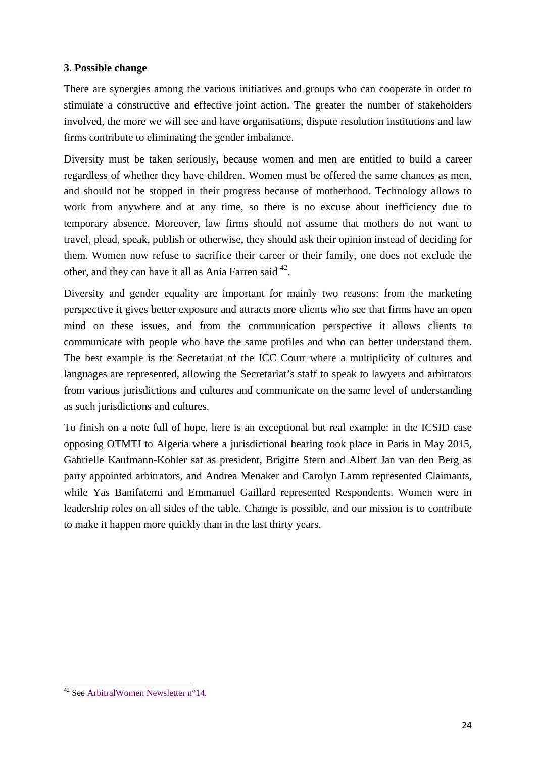# **3. Possible change**

There are synergies among the various initiatives and groups who can cooperate in order to stimulate a constructive and effective joint action. The greater the number of stakeholders involved, the more we will see and have organisations, dispute resolution institutions and law firms contribute to eliminating the gender imbalance.

Diversity must be taken seriously, because women and men are entitled to build a career regardless of whether they have children. Women must be offered the same chances as men, and should not be stopped in their progress because of motherhood. Technology allows to work from anywhere and at any time, so there is no excuse about inefficiency due to temporary absence. Moreover, law firms should not assume that mothers do not want to travel, plead, speak, publish or otherwise, they should ask their opinion instead of deciding for them. Women now refuse to sacrifice their career or their family, one does not exclude the other, and they can have it all as Ania Farren said <sup>42</sup>.

Diversity and gender equality are important for mainly two reasons: from the marketing perspective it gives better exposure and attracts more clients who see that firms have an open mind on these issues, and from the communication perspective it allows clients to communicate with people who have the same profiles and who can better understand them. The best example is the Secretariat of the ICC Court where a multiplicity of cultures and languages are represented, allowing the Secretariat's staff to speak to lawyers and arbitrators from various jurisdictions and cultures and communicate on the same level of understanding as such jurisdictions and cultures.

To finish on a note full of hope, here is an exceptional but real example: in the ICSID case opposing OTMTI to Algeria where a jurisdictional hearing took place in Paris in May 2015, Gabrielle Kaufmann-Kohler sat as president, Brigitte Stern and Albert Jan van den Berg as party appointed arbitrators, and Andrea Menaker and Carolyn Lamm represented Claimants, while Yas Banifatemi and Emmanuel Gaillard represented Respondents. Women were in leadership roles on all sides of the table. Change is possible, and our mission is to contribute to make it happen more quickly than in the last thirty years.

 <sup>42</sup> See ArbitralWomen Newsletter n°14.